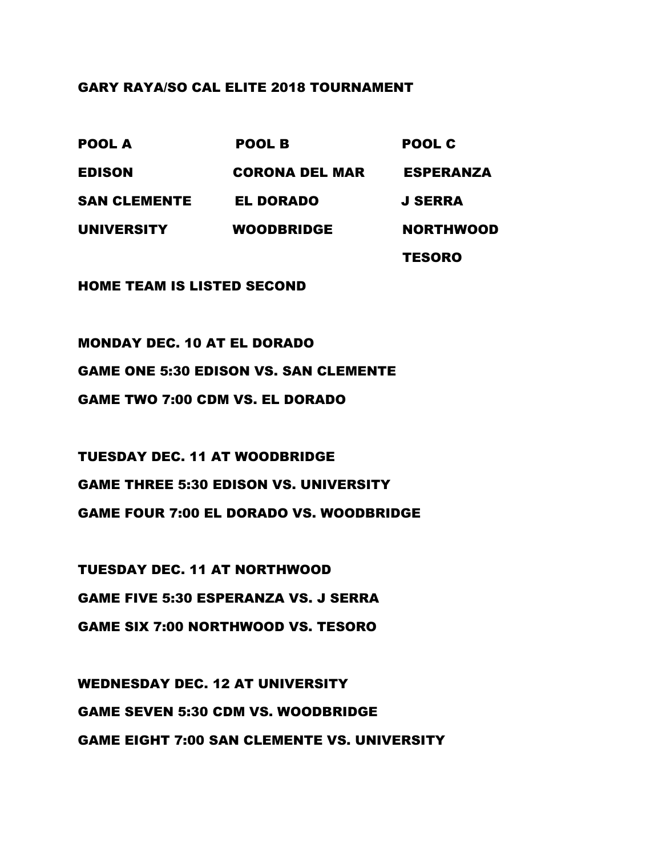## GARY RAYA/SO CAL ELITE 2018 TOURNAMENT

| <b>POOL A</b>       | <b>POOL B</b>         | POOL C           |
|---------------------|-----------------------|------------------|
| <b>EDISON</b>       | <b>CORONA DEL MAR</b> | <b>ESPERANZA</b> |
| <b>SAN CLEMENTE</b> | <b>EL DORADO</b>      | <b>J SERRA</b>   |
| <b>UNIVERSITY</b>   | <b>WOODBRIDGE</b>     | <b>NORTHWOOD</b> |
|                     |                       | <b>TESORO</b>    |

HOME TEAM IS LISTED SECOND

MONDAY DEC. 10 AT EL DORADO GAME ONE 5:30 EDISON VS. SAN CLEMENTE GAME TWO 7:00 CDM VS. EL DORADO

TUESDAY DEC. 11 AT WOODBRIDGE GAME THREE 5:30 EDISON VS. UNIVERSITY GAME FOUR 7:00 EL DORADO VS. WOODBRIDGE

TUESDAY DEC. 11 AT NORTHWOOD GAME FIVE 5:30 ESPERANZA VS. J SERRA GAME SIX 7:00 NORTHWOOD VS. TESORO

WEDNESDAY DEC. 12 AT UNIVERSITY GAME SEVEN 5:30 CDM VS. WOODBRIDGE GAME EIGHT 7:00 SAN CLEMENTE VS. UNIVERSITY